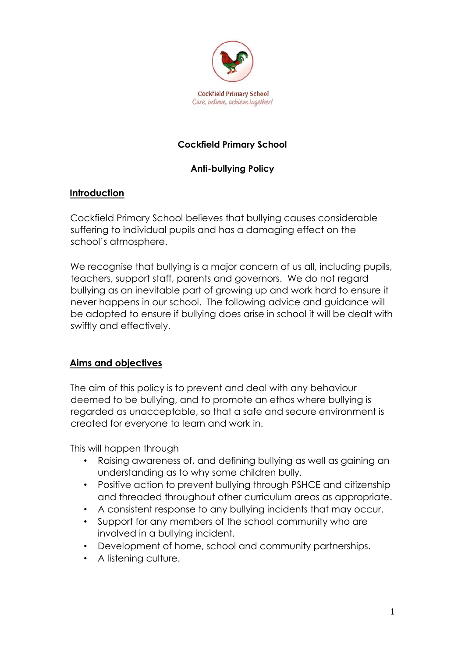

## **Cockfield Primary School**

### **Anti-bullying Policy**

#### **Introduction**

Cockfield Primary School believes that bullying causes considerable suffering to individual pupils and has a damaging effect on the school's atmosphere.

We recognise that bullying is a major concern of us all, including pupils, teachers, support staff, parents and governors. We do not regard bullying as an inevitable part of growing up and work hard to ensure it never happens in our school. The following advice and guidance will be adopted to ensure if bullying does arise in school it will be dealt with swiftly and effectively.

### **Aims and objectives**

The aim of this policy is to prevent and deal with any behaviour deemed to be bullying, and to promote an ethos where bullying is regarded as unacceptable, so that a safe and secure environment is created for everyone to learn and work in.

This will happen through

- Raising awareness of, and defining bullying as well as gaining an understanding as to why some children bully.
- Positive action to prevent bullying through PSHCE and citizenship and threaded throughout other curriculum areas as appropriate.
- A consistent response to any bullying incidents that may occur.
- Support for any members of the school community who are involved in a bullying incident.
- Development of home, school and community partnerships.
- A listening culture.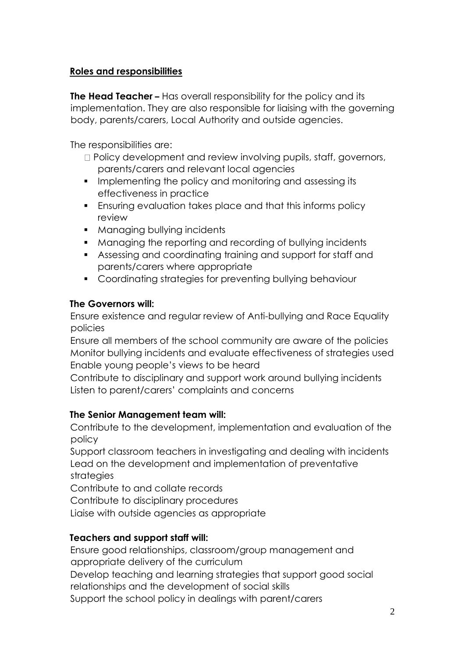## **Roles and responsibilities**

**The Head Teacher –** Has overall responsibility for the policy and its implementation. They are also responsible for liaising with the governing body, parents/carers, Local Authority and outside agencies.

The responsibilities are:

- $\Box$  Policy development and review involving pupils, staff, governors, parents/carers and relevant local agencies
- Implementing the policy and monitoring and assessing its effectiveness in practice
- **Ensuring evaluation takes place and that this informs policy** review
- Managing bullying incidents
- Managing the reporting and recording of bullying incidents
- Assessing and coordinating training and support for staff and parents/carers where appropriate
- Coordinating strategies for preventing bullying behaviour

### **The Governors will:**

Ensure existence and regular review of Anti-bullying and Race Equality policies

Ensure all members of the school community are aware of the policies Monitor bullying incidents and evaluate effectiveness of strategies used Enable young people's views to be heard

Contribute to disciplinary and support work around bullying incidents Listen to parent/carers' complaints and concerns

### **The Senior Management team will:**

Contribute to the development, implementation and evaluation of the policy

Support classroom teachers in investigating and dealing with incidents Lead on the development and implementation of preventative strategies

Contribute to and collate records

Contribute to disciplinary procedures

Liaise with outside agencies as appropriate

## **Teachers and support staff will:**

Ensure good relationships, classroom/group management and appropriate delivery of the curriculum

Develop teaching and learning strategies that support good social relationships and the development of social skills

Support the school policy in dealings with parent/carers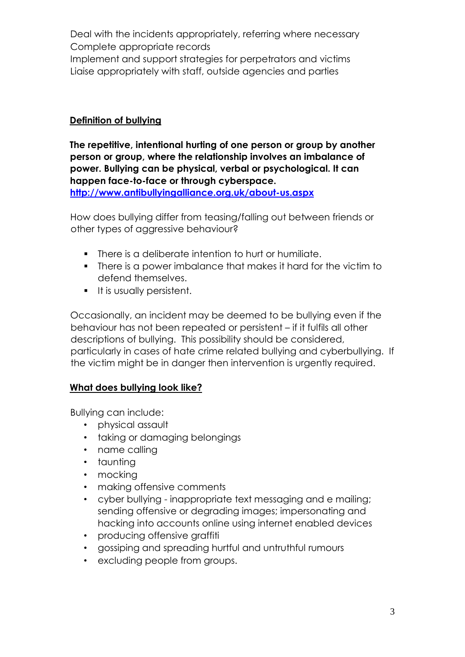Deal with the incidents appropriately, referring where necessary Complete appropriate records Implement and support strategies for perpetrators and victims Liaise appropriately with staff, outside agencies and parties

#### **Definition of bullying**

**The repetitive, intentional hurting of one person or group by another person or group, where the relationship involves an imbalance of power. Bullying can be physical, verbal or psychological. It can happen face-to-face or through cyberspace. <http://www.antibullyingalliance.org.uk/about-us.aspx>**

How does bullying differ from teasing/falling out between friends or other types of aggressive behaviour?

- There is a deliberate intention to hurt or humiliate.
- There is a power imbalance that makes it hard for the victim to defend themselves.
- **•** It is usually persistent.

Occasionally, an incident may be deemed to be bullying even if the behaviour has not been repeated or persistent – if it fulfils all other descriptions of bullying. This possibility should be considered, particularly in cases of hate crime related bullying and cyberbullying. If the victim might be in danger then intervention is urgently required.

### **What does bullying look like?**

Bullying can include:

- physical assault
- taking or damaging belongings
- name calling
- taunting
- mocking
- making offensive comments
- cyber bullying inappropriate text messaging and e mailing; sending offensive or degrading images; impersonating and hacking into accounts online using internet enabled devices
- producing offensive graffiti
- gossiping and spreading hurtful and untruthful rumours
- excluding people from groups.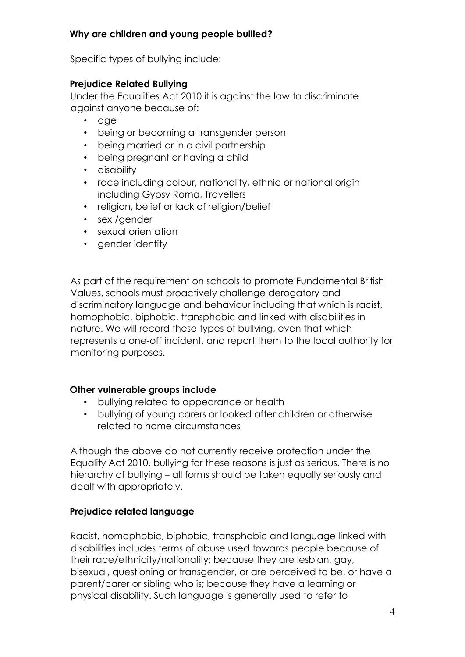### **Why are children and young people bullied?**

Specific types of bullying include:

#### **Prejudice Related Bullying**

Under the Equalities Act 2010 it is against the law to discriminate against anyone because of:

- age
- being or becoming a transgender person
- being married or in a civil partnership
- being pregnant or having a child
- disability
- race including colour, nationality, ethnic or national origin including Gypsy Roma, Travellers
- religion, belief or lack of religion/belief
- sex / aender
- sexual orientation
- gender identity

As part of the requirement on schools to promote Fundamental British Values, schools must proactively challenge derogatory and discriminatory language and behaviour including that which is racist, homophobic, biphobic, transphobic and linked with disabilities in nature. We will record these types of bullying, even that which represents a one-off incident, and report them to the local authority for monitoring purposes.

#### **Other vulnerable groups include**

- bullying related to appearance or health
- bullying of young carers or looked after children or otherwise related to home circumstances

Although the above do not currently receive protection under the Equality Act 2010, bullying for these reasons is just as serious. There is no hierarchy of bullying – all forms should be taken equally seriously and dealt with appropriately.

### **Prejudice related language**

Racist, homophobic, biphobic, transphobic and language linked with disabilities includes terms of abuse used towards people because of their race/ethnicity/nationality; because they are lesbian, gay, bisexual, questioning or transgender, or are perceived to be, or have a parent/carer or sibling who is; because they have a learning or physical disability. Such language is generally used to refer to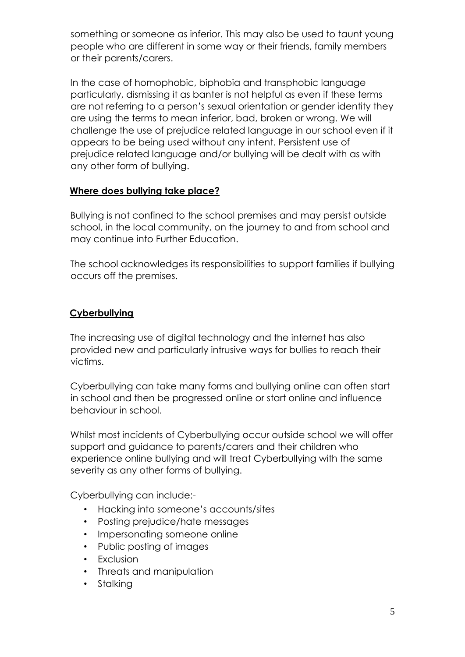something or someone as inferior. This may also be used to taunt young people who are different in some way or their friends, family members or their parents/carers.

In the case of homophobic, biphobia and transphobic language particularly, dismissing it as banter is not helpful as even if these terms are not referring to a person's sexual orientation or gender identity they are using the terms to mean inferior, bad, broken or wrong. We will challenge the use of prejudice related language in our school even if it appears to be being used without any intent. Persistent use of prejudice related language and/or bullying will be dealt with as with any other form of bullying.

## **Where does bullying take place?**

Bullying is not confined to the school premises and may persist outside school, in the local community, on the journey to and from school and may continue into Further Education.

The school acknowledges its responsibilities to support families if bullying occurs off the premises.

## **Cyberbullying**

The increasing use of digital technology and the internet has also provided new and particularly intrusive ways for bullies to reach their victims.

Cyberbullying can take many forms and bullying online can often start in school and then be progressed online or start online and influence behaviour in school.

Whilst most incidents of Cyberbullying occur outside school we will offer support and guidance to parents/carers and their children who experience online bullying and will treat Cyberbullying with the same severity as any other forms of bullying.

Cyberbullying can include:-

- Hacking into someone's accounts/sites
- Posting prejudice/hate messages
- Impersonating someone online
- Public posting of images
- Exclusion
- Threats and manipulation
- Stalking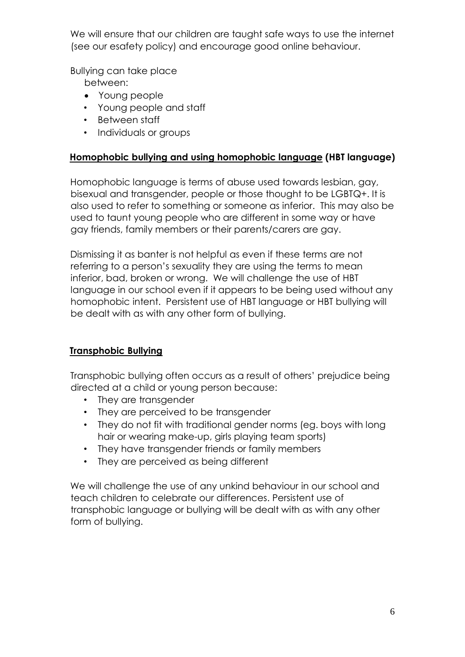We will ensure that our children are taught safe ways to use the internet (see our esafety policy) and encourage good online behaviour.

Bullying can take place

between:

- Young people
- Young people and staff
- Between staff
- Individuals or groups

#### **Homophobic bullying and using homophobic language (HBT language)**

Homophobic language is terms of abuse used towards lesbian, gay, bisexual and transgender, people or those thought to be LGBTQ+. It is also used to refer to something or someone as inferior. This may also be used to taunt young people who are different in some way or have gay friends, family members or their parents/carers are gay.

Dismissing it as banter is not helpful as even if these terms are not referring to a person's sexuality they are using the terms to mean inferior, bad, broken or wrong. We will challenge the use of HBT language in our school even if it appears to be being used without any homophobic intent. Persistent use of HBT language or HBT bullying will be dealt with as with any other form of bullying.

### **Transphobic Bullying**

Transphobic bullying often occurs as a result of others' prejudice being directed at a child or young person because:

- They are transgender
- They are perceived to be transgender
- They do not fit with traditional gender norms (eg. boys with long hair or wearing make-up, girls playing team sports)
- They have transgender friends or family members
- They are perceived as being different

We will challenge the use of any unkind behaviour in our school and teach children to celebrate our differences. Persistent use of transphobic language or bullying will be dealt with as with any other form of bullying.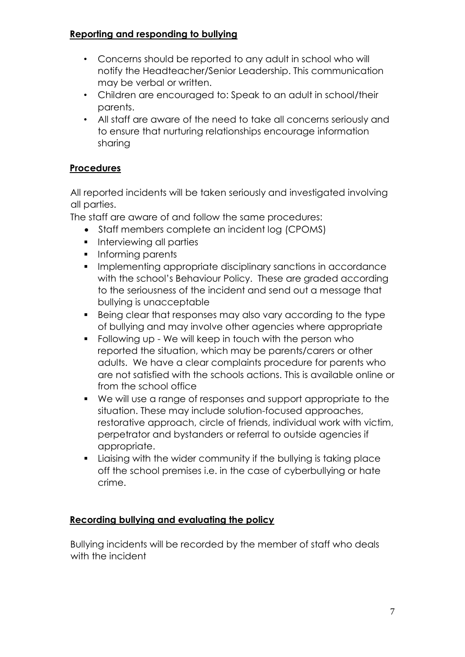## **Reporting and responding to bullying**

- Concerns should be reported to any adult in school who will notify the Headteacher/Senior Leadership. This communication may be verbal or written.
- Children are encouraged to: Speak to an adult in school/their parents.
- All staff are aware of the need to take all concerns seriously and to ensure that nurturing relationships encourage information sharing

# **Procedures**

All reported incidents will be taken seriously and investigated involving all parties.

The staff are aware of and follow the same procedures:

- Staff members complete an incident log (CPOMS)
- **•** Interviewing all parties
- **•** Informing parents
- **Implementing appropriate disciplinary sanctions in accordance** with the school's Behaviour Policy. These are graded according to the seriousness of the incident and send out a message that bullying is unacceptable
- Being clear that responses may also vary according to the type of bullying and may involve other agencies where appropriate
- Following up We will keep in touch with the person who reported the situation, which may be parents/carers or other adults. We have a clear complaints procedure for parents who are not satisfied with the schools actions. This is available online or from the school office
- We will use a range of responses and support appropriate to the situation. These may include solution-focused approaches, restorative approach, circle of friends, individual work with victim, perpetrator and bystanders or referral to outside agencies if appropriate.
- Liaising with the wider community if the bullying is taking place off the school premises i.e. in the case of cyberbullying or hate crime.

## **Recording bullying and evaluating the policy**

Bullying incidents will be recorded by the member of staff who deals with the incident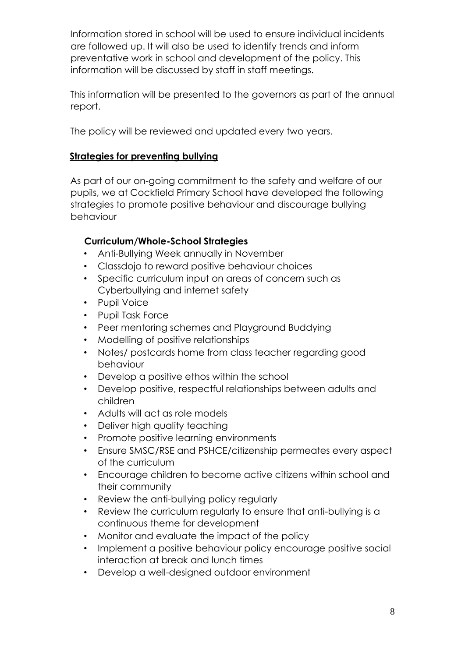Information stored in school will be used to ensure individual incidents are followed up. It will also be used to identify trends and inform preventative work in school and development of the policy. This information will be discussed by staff in staff meetings.

This information will be presented to the governors as part of the annual report.

The policy will be reviewed and updated every two years.

### **Strategies for preventing bullying**

As part of our on-going commitment to the safety and welfare of our pupils, we at Cockfield Primary School have developed the following strategies to promote positive behaviour and discourage bullying behaviour

### **Curriculum/Whole-School Strategies**

- Anti-Bullying Week annually in November
- Classdojo to reward positive behaviour choices
- Specific curriculum input on areas of concern such as Cyberbullying and internet safety
- Pupil Voice
- Pupil Task Force
- Peer mentoring schemes and Playground Buddying
- Modelling of positive relationships
- Notes/ postcards home from class teacher regarding good behaviour
- Develop a positive ethos within the school
- Develop positive, respectful relationships between adults and children
- Adults will act as role models
- Deliver high quality teaching
- Promote positive learning environments
- Ensure SMSC/RSE and PSHCE/citizenship permeates every aspect of the curriculum
- Encourage children to become active citizens within school and their community
- Review the anti-bullying policy regularly
- Review the curriculum regularly to ensure that anti-bullying is a continuous theme for development
- Monitor and evaluate the impact of the policy
- Implement a positive behaviour policy encourage positive social interaction at break and lunch times
- Develop a well-designed outdoor environment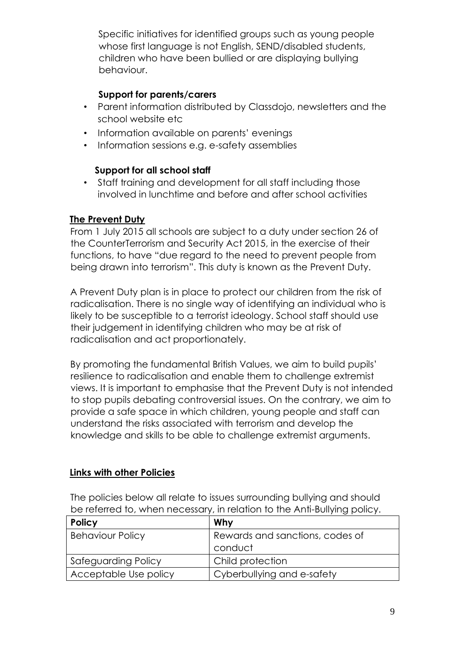Specific initiatives for identified groups such as young people whose first language is not English, SEND/disabled students, children who have been bullied or are displaying bullying behaviour.

#### **Support for parents/carers**

- Parent information distributed by Classdojo, newsletters and the school website etc
- Information available on parents' evenings
- Information sessions e.g. e-safety assemblies

#### **Support for all school staff**

• Staff training and development for all staff including those involved in lunchtime and before and after school activities

#### **The Prevent Duty**

From 1 July 2015 all schools are subject to a duty under section 26 of the CounterTerrorism and Security Act 2015, in the exercise of their functions, to have "due regard to the need to prevent people from being drawn into terrorism". This duty is known as the Prevent Duty.

A Prevent Duty plan is in place to protect our children from the risk of radicalisation. There is no single way of identifying an individual who is likely to be susceptible to a terrorist ideology. School staff should use their judgement in identifying children who may be at risk of radicalisation and act proportionately.

By promoting the fundamental British Values, we aim to build pupils' resilience to radicalisation and enable them to challenge extremist views. It is important to emphasise that the Prevent Duty is not intended to stop pupils debating controversial issues. On the contrary, we aim to provide a safe space in which children, young people and staff can understand the risks associated with terrorism and develop the knowledge and skills to be able to challenge extremist arguments.

#### **Links with other Policies**

The policies below all relate to issues surrounding bullying and should be referred to, when necessary, in relation to the Anti-Bullying policy.

| <b>Policy</b>           | Why                             |
|-------------------------|---------------------------------|
| <b>Behaviour Policy</b> | Rewards and sanctions, codes of |
|                         | conduct                         |
| Safeguarding Policy     | Child protection                |
| Acceptable Use policy   | Cyberbullying and e-safety      |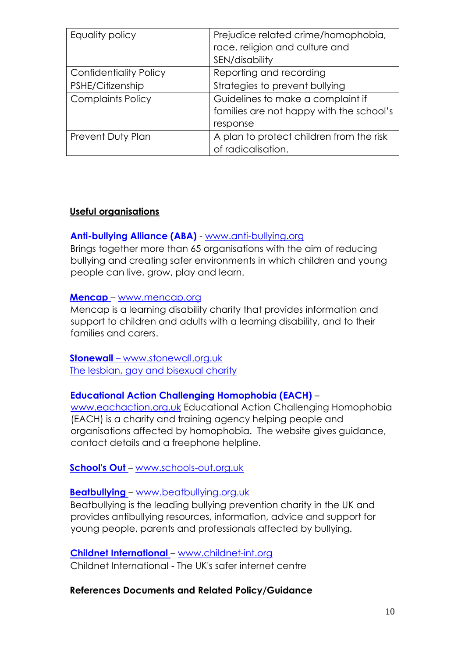| Equality policy               | Prejudice related crime/homophobia,<br>race, religion and culture and |
|-------------------------------|-----------------------------------------------------------------------|
|                               | SEN/disability                                                        |
| <b>Confidentiality Policy</b> | Reporting and recording                                               |
| PSHE/Citizenship              | Strategies to prevent bullying                                        |
| <b>Complaints Policy</b>      | Guidelines to make a complaint if                                     |
|                               | families are not happy with the school's                              |
|                               | response                                                              |
| <b>Prevent Duty Plan</b>      | A plan to protect children from the risk                              |
|                               | of radicalisation.                                                    |

#### **Useful organisations**

#### **Anti-bullying Alliance (ABA)** [-](http://www.anti-bullying.org/) [www.anti-bullying.org](http://www.anti-bullying.org/)

Brings together more than 65 organisations with the aim of reducing bullying and creating safer environments in which children and young people can live, grow, play and learn.

#### **[Mencap](http://www.mencap.org.uk/)** [–](http://www.mencap.org.uk/) [www.mencap.org](http://www.mencap.org/)

Mencap is a learning disability charity that provides information and support to children and adults with a learning disability, and to their families and carers.

**Stonewall** – www.stonewall.org.uk The lesbian, gay and bisexual charity

#### **Educational Action Challenging Homophobia (EACH)** –

www.eachaction.org.uk Educational Action Challenging Homophobia (EACH) is a charity and training agency helping people and organisations affected by homophobia. The website gives guidance, contact details and a freephone helpline.

#### **[School's Out](http://www.schools-out.org.uk/)** [–](http://www.schools-out.org.uk/) [www.schools-out.org.uk](http://www.schools-out.org.uk/)

## **[Beatbullying](http://www.beatbullying.org/)** [–](http://www.beatbullying.org/) [www.beatbullying.org.uk](http://www.beatbullying.org.uk/)

Beatbullying is the leading bullying prevention charity in the UK and provides antibullying resources, information, advice and support for young people, parents and professionals affected by bullying.

### **[Childnet International](http://childnet-int.org/) [–](http://childnet-int.org/) [www.childnet-int.org](http://www.childnet-int.org/)**

Childnet International - The UK's safer internet centre

### **References Documents and Related Policy/Guidance**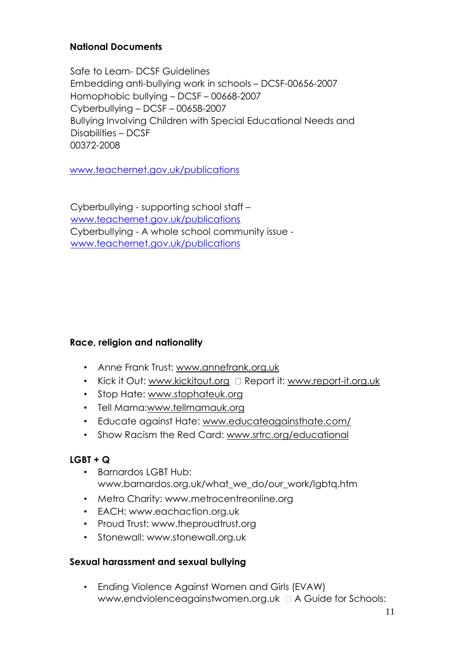#### **National Documents**

Safe to Learn- DCSF Guidelines Embedding anti-bullying work in schools – DCSF-00656-2007 Homophobic bullying – DCSF – 00668-2007 Cyberbullying – DCSF – 00658-2007 Bullying Involving Children with Special Educational Needs and Disabilities – DCSF 00372-2008

[www.teachernet.gov.uk/publications](http://www.teachernet.gov.uk/publications)

Cyberbullying - supporting school staff [–](http://www.teachernet.gov.uk/publications) [www.teachernet.gov.uk/publications](http://www.teachernet.gov.uk/publications) Cyberbullying - A whole school community issue www.teachernet.gov.uk/publications

#### **Race, religion and nationality**

- Anne Frank Trust: www.annefrank.org.uk
- Kick it Out: www.kickitout.org  $\Box$  Report it: www.report-it.org.uk
- Stop Hate: www.stophateuk.org
- Tell Mama:www.tellmamauk.org
- Educate against Hate: www.educateagainsthate.com/
- Show Racism the Red Card: www.srtrc.org/educational

### **LGBT + Q**

- Barnardos LGBT Hub: www.barnardos.org.uk/what\_we\_do/our\_work/lgbtq.htm
- Metro Charity: www.metrocentreonline.org
- EACH: www.eachaction.org.uk
- Proud Trust: www.theproudtrust.org
- Stonewall: www.stonewall.org.uk

#### **Sexual harassment and sexual bullying**

• Ending Violence Against Women and Girls (EVAW) www.endviolenceagainstwomen.org.uk A Guide for Schools: